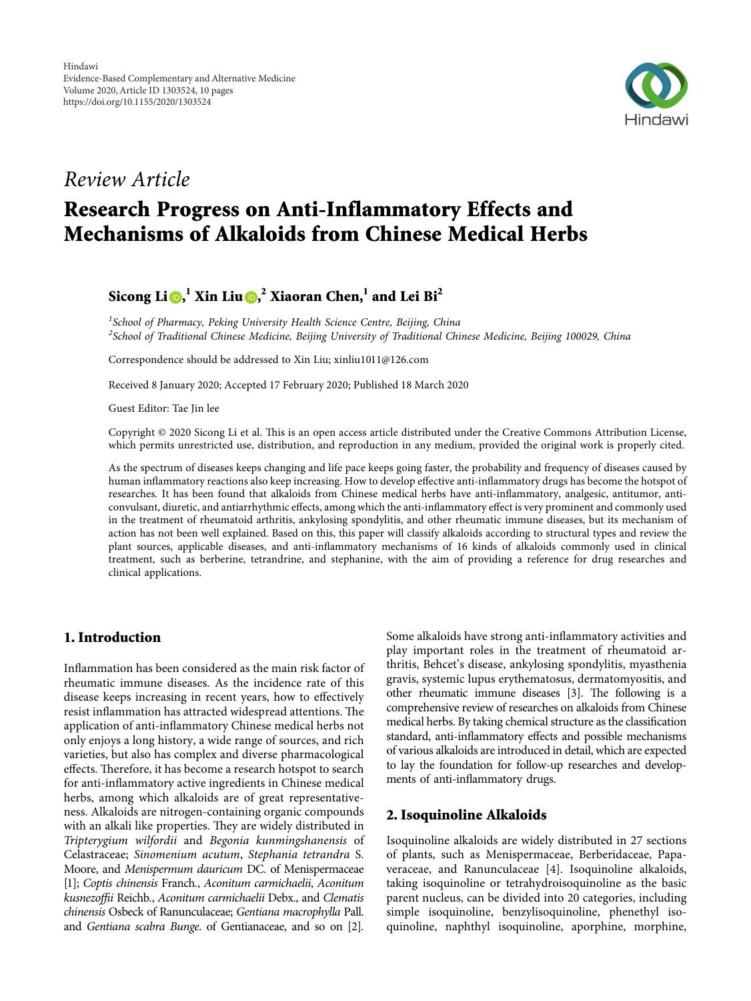

# *Review Article*

# **Research Progress on Anti-Inflammatory Effects and Mechanisms of Alkaloids from Chinese Medical Herbs**

## **Sicong Li [,](https://orcid.org/0000-0002-6414-6645) <sup>1</sup> Xin Liu [,](https://orcid.org/0000-0003-3593-3460) <sup>2</sup> Xiaoran Chen,1 and Lei Bi2**

*1 School of Pharmacy, Peking University Health Science Centre, Beijing, China 2 School of Traditional Chinese Medicine, Beijing University of Traditional Chinese Medicine, Beijing 100029, China*

Correspondence should be addressed to Xin Liu; [xinliu1011@126.com](mailto:xinliu1011@126.com)

Received 8 January 2020; Accepted 17 February 2020; Published 18 March 2020

Guest Editor: Tae Jin lee

Copyright © 2020 Sicong Li et al. This is an open access article distributed under the [Creative Commons Attribution License](https://creativecommons.org/licenses/by/4.0/), which permits unrestricted use, distribution, and reproduction in any medium, provided the original work is properly cited.

As the spectrum of diseases keeps changing and life pace keeps going faster, the probability and frequency of diseases caused by human inflammatory reactions also keep increasing. How to develop effective anti-inflammatory drugs has become the hotspot of researches. It has been found that alkaloids from Chinese medical herbs have anti-inflammatory, analgesic, antitumor, anticonvulsant, diuretic, and antiarrhythmic effects, among which the anti-inflammatory effect is very prominent and commonly used in the treatment of rheumatoid arthritis, ankylosing spondylitis, and other rheumatic immune diseases, but its mechanism of action has not been well explained. Based on this, this paper will classify alkaloids according to structural types and review the plant sources, applicable diseases, and anti-inflammatory mechanisms of 16 kinds of alkaloids commonly used in clinical treatment, such as berberine, tetrandrine, and stephanine, with the aim of providing a reference for drug researches and clinical applications.

## **1. Introduction**

Inflammation has been considered as the main risk factor of rheumatic immune diseases. As the incidence rate of this disease keeps increasing in recent years, how to effectively resist inflammation has attracted widespread attentions. The application of anti-inflammatory Chinese medical herbs not only enjoys a long history, a wide range of sources, and rich varieties, but also has complex and diverse pharmacological effects. Therefore, it has become a research hotspot to search for anti-inflammatory active ingredients in Chinese medical herbs, among which alkaloids are of great representativeness. Alkaloids are nitrogen-containing organic compounds with an alkali like properties. They are widely distributed in *Tripterygium wilfordii* and *Begonia kunmingshanensis* of Celastraceae; *Sinomenium acutum*, *Stephania tetrandra* S. Moore, and *Menispermum dauricum* DC. of Menispermaceae [\[1](#page-6-0)]; *Coptis chinensis* Franch*.*, *Aconitum carmichaelii*, *Aconitum kusnezoffii* Reichb*.*, *Aconitum carmichaelii* Debx., and *Clematis chinensis* Osbeck of Ranunculaceae; *Gentiana macrophylla* Pall. and *Gentiana scabra Bunge*. of Gentianaceae, and so on [\[2\]](#page-6-0).

Some alkaloids have strong anti-inflammatory activities and play important roles in the treatment of rheumatoid arthritis, Behcet's disease, ankylosing spondylitis, myasthenia gravis, systemic lupus erythematosus, dermatomyositis, and other rheumatic immune diseases [[3](#page-6-0)]. The following is a comprehensive review of researches on alkaloids from Chinese medical herbs. By taking chemical structure as the classification standard, anti-inflammatory effects and possible mechanisms of various alkaloids are introduced in detail, which are expected to lay the foundation for follow-up researches and developments of anti-inflammatory drugs.

## **2. Isoquinoline Alkaloids**

Isoquinoline alkaloids are widely distributed in 27 sections of plants, such as Menispermaceae, Berberidaceae, Papaveraceae, and Ranunculaceae [[4\]](#page-6-0). Isoquinoline alkaloids, taking isoquinoline or tetrahydroisoquinoline as the basic parent nucleus, can be divided into 20 categories, including simple isoquinoline, benzylisoquinoline, phenethyl isoquinoline, naphthyl isoquinoline, aporphine, morphine,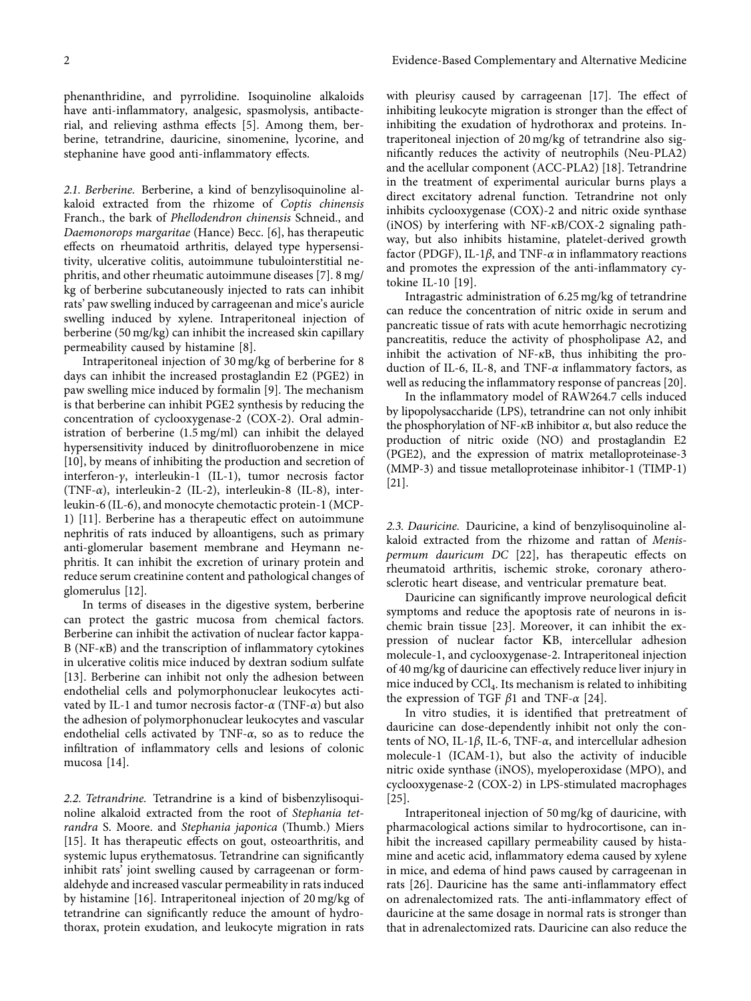phenanthridine, and pyrrolidine. Isoquinoline alkaloids have anti-inflammatory, analgesic, spasmolysis, antibacterial, and relieving asthma effects [[5\]](#page-6-0). Among them, berberine, tetrandrine, dauricine, sinomenine, lycorine, and stephanine have good anti-inflammatory effects.

*2.1. Berberine.* Berberine, a kind of benzylisoquinoline alkaloid extracted from the rhizome of *Coptis chinensis* Franch., the bark of *Phellodendron chinensis* Schneid., and *Daemonorops margaritae* (Hance) Becc. [[6\]](#page-6-0), has therapeutic effects on rheumatoid arthritis, delayed type hypersensitivity, ulcerative colitis, autoimmune tubulointerstitial nephritis, and other rheumatic autoimmune diseases [\[7\]](#page-6-0). 8 mg/ kg of berberine subcutaneously injected to rats can inhibit rats' paw swelling induced by carrageenan and mice's auricle swelling induced by xylene. Intraperitoneal injection of berberine (50 mg/kg) can inhibit the increased skin capillary permeability caused by histamine [\[8](#page-6-0)].

Intraperitoneal injection of 30 mg/kg of berberine for 8 days can inhibit the increased prostaglandin E2 (PGE2) in paw swelling mice induced by formalin [\[9](#page-6-0)]. The mechanism is that berberine can inhibit PGE2 synthesis by reducing the concentration of cyclooxygenase-2 (COX-2). Oral administration of berberine (1.5 mg/ml) can inhibit the delayed hypersensitivity induced by dinitrofluorobenzene in mice [\[10](#page-6-0)], by means of inhibiting the production and secretion of interferon-*c*, interleukin-1 (IL-1), tumor necrosis factor (TNF-*α*), interleukin-2 (IL-2), interleukin-8 (IL-8), interleukin-6 (IL-6), and monocyte chemotactic protein-1 (MCP-1) [\[11](#page-6-0)]. Berberine has a therapeutic effect on autoimmune nephritis of rats induced by alloantigens, such as primary anti-glomerular basement membrane and Heymann nephritis. It can inhibit the excretion of urinary protein and reduce serum creatinine content and pathological changes of glomerulus [[12\]](#page-6-0).

In terms of diseases in the digestive system, berberine can protect the gastric mucosa from chemical factors. Berberine can inhibit the activation of nuclear factor kappa-B (NF-*κ*B) and the transcription of inflammatory cytokines in ulcerative colitis mice induced by dextran sodium sulfate [\[13](#page-6-0)]. Berberine can inhibit not only the adhesion between endothelial cells and polymorphonuclear leukocytes activated by IL-1 and tumor necrosis factor-*α* (TNF-*α*) but also the adhesion of polymorphonuclear leukocytes and vascular endothelial cells activated by TNF-*α*, so as to reduce the infiltration of inflammatory cells and lesions of colonic mucosa [\[14\]](#page-6-0).

*2.2. Tetrandrine.* Tetrandrine is a kind of bisbenzylisoquinoline alkaloid extracted from the root of *Stephania tetrandra* S. Moore. and *Stephania japonica* (Thumb.) Miers [\[15](#page-6-0)]. It has therapeutic effects on gout, osteoarthritis, and systemic lupus erythematosus. Tetrandrine can significantly inhibit rats' joint swelling caused by carrageenan or formaldehyde and increased vascular permeability in rats induced by histamine [\[16](#page-6-0)]. Intraperitoneal injection of 20 mg/kg of tetrandrine can significantly reduce the amount of hydrothorax, protein exudation, and leukocyte migration in rats

with pleurisy caused by carrageenan  $[17]$  $[17]$ . The effect of inhibiting leukocyte migration is stronger than the effect of inhibiting the exudation of hydrothorax and proteins. Intraperitoneal injection of 20 mg/kg of tetrandrine also significantly reduces the activity of neutrophils (Neu-PLA2) and the acellular component (ACC-PLA2) [[18\]](#page-6-0). Tetrandrine in the treatment of experimental auricular burns plays a direct excitatory adrenal function. Tetrandrine not only inhibits cyclooxygenase (COX)-2 and nitric oxide synthase (iNOS) by interfering with NF-*κ*B/COX-2 signaling pathway, but also inhibits histamine, platelet-derived growth factor (PDGF), IL-1*β*, and TNF-*α* in inflammatory reactions and promotes the expression of the anti-inflammatory cytokine IL-10 [\[19](#page-6-0)].

Intragastric administration of 6.25 mg/kg of tetrandrine can reduce the concentration of nitric oxide in serum and pancreatic tissue of rats with acute hemorrhagic necrotizing pancreatitis, reduce the activity of phospholipase A2, and inhibit the activation of NF-*κ*B, thus inhibiting the production of IL-6, IL-8, and TNF-*α* inflammatory factors, as well as reducing the inflammatory response of pancreas [[20](#page-6-0)].

In the inflammatory model of RAW264.7 cells induced by lipopolysaccharide (LPS), tetrandrine can not only inhibit the phosphorylation of NF-*κ*B inhibitor *α*, but also reduce the production of nitric oxide (NO) and prostaglandin E2 (PGE2), and the expression of matrix metalloproteinase-3 (MMP-3) and tissue metalloproteinase inhibitor-1 (TIMP-1) [\[21](#page-6-0)].

*2.3. Dauricine.* Dauricine, a kind of benzylisoquinoline alkaloid extracted from the rhizome and rattan of *Menispermum dauricum DC* [[22](#page-6-0)], has therapeutic effects on rheumatoid arthritis, ischemic stroke, coronary atherosclerotic heart disease, and ventricular premature beat.

Dauricine can significantly improve neurological deficit symptoms and reduce the apoptosis rate of neurons in ischemic brain tissue [[23](#page-7-0)]. Moreover, it can inhibit the expression of nuclear factor LB, intercellular adhesion molecule-1, and cyclooxygenase-2. Intraperitoneal injection of 40 mg/kg of dauricine can effectively reduce liver injury in mice induced by  $\text{CCl}_4$ . Its mechanism is related to inhibiting the expression of TGF *β*1 and TNF-*α* [\[24\]](#page-7-0).

In vitro studies, it is identified that pretreatment of dauricine can dose-dependently inhibit not only the contents of NO, IL-1*β*, IL-6, TNF-*α*, and intercellular adhesion molecule-1 (ICAM-1), but also the activity of inducible nitric oxide synthase (iNOS), myeloperoxidase (MPO), and cyclooxygenase-2 (COX-2) in LPS-stimulated macrophages [\[25\]](#page-7-0).

Intraperitoneal injection of 50 mg/kg of dauricine, with pharmacological actions similar to hydrocortisone, can inhibit the increased capillary permeability caused by histamine and acetic acid, inflammatory edema caused by xylene in mice, and edema of hind paws caused by carrageenan in rats [[26](#page-7-0)]. Dauricine has the same anti-inflammatory effect on adrenalectomized rats. The anti-inflammatory effect of dauricine at the same dosage in normal rats is stronger than that in adrenalectomized rats. Dauricine can also reduce the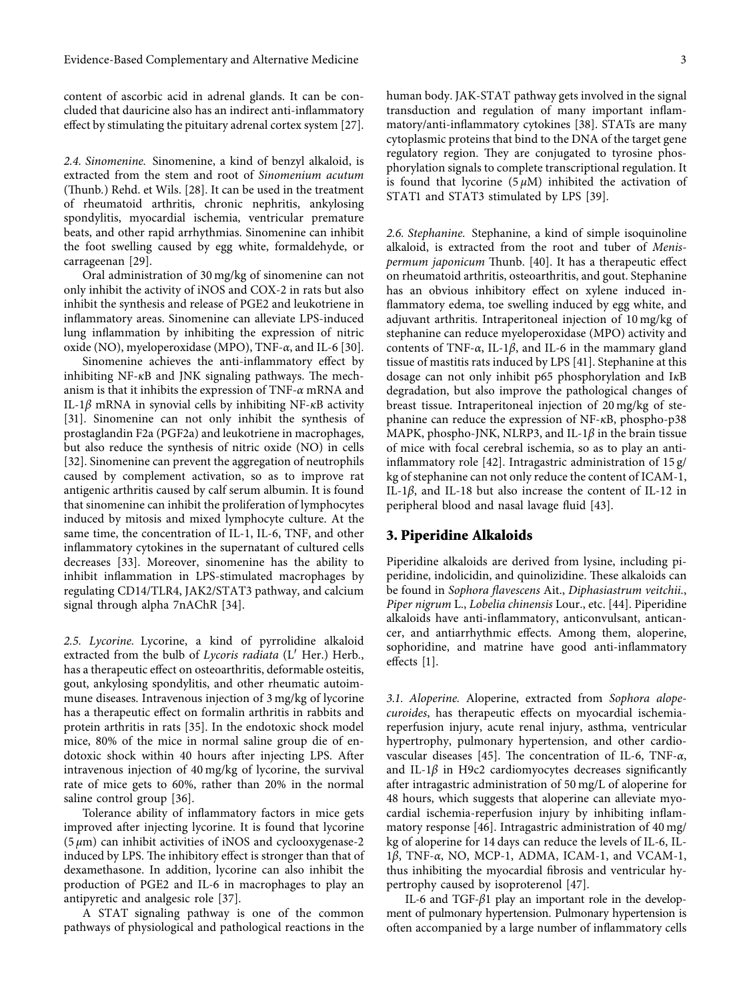content of ascorbic acid in adrenal glands. It can be concluded that dauricine also has an indirect anti-inflammatory effect by stimulating the pituitary adrenal cortex system [[27](#page-7-0)].

*2.4. Sinomenine.* Sinomenine, a kind of benzyl alkaloid, is extracted from the stem and root of *Sinomenium acutum* (Thunb.) Rehd. et Wils. [[28](#page-7-0)]. It can be used in the treatment of rheumatoid arthritis, chronic nephritis, ankylosing spondylitis, myocardial ischemia, ventricular premature beats, and other rapid arrhythmias. Sinomenine can inhibit the foot swelling caused by egg white, formaldehyde, or carrageenan [\[29](#page-7-0)].

Oral administration of 30 mg/kg of sinomenine can not only inhibit the activity of iNOS and COX-2 in rats but also inhibit the synthesis and release of PGE2 and leukotriene in inflammatory areas. Sinomenine can alleviate LPS-induced lung inflammation by inhibiting the expression of nitric oxide (NO), myeloperoxidase (MPO), TNF-*α*, and IL-6 [[30](#page-7-0)].

Sinomenine achieves the anti-inflammatory effect by inhibiting  $NF-\kappa B$  and JNK signaling pathways. The mechanism is that it inhibits the expression of TNF-*α* mRNA and IL-1*β* mRNA in synovial cells by inhibiting NF-*κ*B activity [\[31](#page-7-0)]. Sinomenine can not only inhibit the synthesis of prostaglandin F2a (PGF2a) and leukotriene in macrophages, but also reduce the synthesis of nitric oxide (NO) in cells [\[32\]](#page-7-0). Sinomenine can prevent the aggregation of neutrophils caused by complement activation, so as to improve rat antigenic arthritis caused by calf serum albumin. It is found that sinomenine can inhibit the proliferation of lymphocytes induced by mitosis and mixed lymphocyte culture. At the same time, the concentration of IL-1, IL-6, TNF, and other inflammatory cytokines in the supernatant of cultured cells decreases [\[33\]](#page-7-0). Moreover, sinomenine has the ability to inhibit inflammation in LPS-stimulated macrophages by regulating CD14/TLR4, JAK2/STAT3 pathway, and calcium signal through alpha 7nAChR [\[34](#page-7-0)].

*2.5. Lycorine.* Lycorine, a kind of pyrrolidine alkaloid extracted from the bulb of *Lycoris radiata* (L′ Her.) Herb*.*, has a therapeutic effect on osteoarthritis, deformable osteitis, gout, ankylosing spondylitis, and other rheumatic autoimmune diseases. Intravenous injection of 3 mg/kg of lycorine has a therapeutic effect on formalin arthritis in rabbits and protein arthritis in rats [[35\]](#page-7-0). In the endotoxic shock model mice, 80% of the mice in normal saline group die of endotoxic shock within 40 hours after injecting LPS. After intravenous injection of 40 mg/kg of lycorine, the survival rate of mice gets to 60%, rather than 20% in the normal saline control group [\[36\]](#page-7-0).

Tolerance ability of inflammatory factors in mice gets improved after injecting lycorine. It is found that lycorine (5 *μ*m) can inhibit activities of iNOS and cyclooxygenase-2 induced by LPS. The inhibitory effect is stronger than that of dexamethasone. In addition, lycorine can also inhibit the production of PGE2 and IL-6 in macrophages to play an antipyretic and analgesic role [[37](#page-7-0)].

A STAT signaling pathway is one of the common pathways of physiological and pathological reactions in the human body. JAK-STAT pathway gets involved in the signal transduction and regulation of many important inflammatory/anti-inflammatory cytokines [[38](#page-7-0)]. STATs are many cytoplasmic proteins that bind to the DNA of the target gene regulatory region. They are conjugated to tyrosine phosphorylation signals to complete transcriptional regulation. It is found that lycorine  $(5 \mu M)$  inhibited the activation of STAT1 and STAT3 stimulated by LPS [[39](#page-7-0)].

*2.6. Stephanine.* Stephanine, a kind of simple isoquinoline alkaloid, is extracted from the root and tuber of *Menispermum japonicum* Thunb. [[40](#page-7-0)]. It has a therapeutic effect on rheumatoid arthritis, osteoarthritis, and gout. Stephanine has an obvious inhibitory effect on xylene induced inflammatory edema, toe swelling induced by egg white, and adjuvant arthritis. Intraperitoneal injection of 10 mg/kg of stephanine can reduce myeloperoxidase (MPO) activity and contents of TNF-*α*, IL-1*β*, and IL-6 in the mammary gland tissue of mastitis rats induced by LPS [\[41](#page-7-0)]. Stephanine at this dosage can not only inhibit p65 phosphorylation and I*κ*B degradation, but also improve the pathological changes of breast tissue. Intraperitoneal injection of 20 mg/kg of stephanine can reduce the expression of NF-*κ*B, phospho-p38 MAPK, phospho-JNK, NLRP3, and IL-1*β* in the brain tissue of mice with focal cerebral ischemia, so as to play an antiinflammatory role [[42](#page-7-0)]. Intragastric administration of 15 g/ kg of stephanine can not only reduce the content of ICAM-1, IL-1*β*, and IL-18 but also increase the content of IL-12 in peripheral blood and nasal lavage fluid [\[43\]](#page-7-0).

#### **3. Piperidine Alkaloids**

Piperidine alkaloids are derived from lysine, including piperidine, indolicidin, and quinolizidine. These alkaloids can be found in *Sophora flavescens* Ait., *Diphasiastrum veitchii.*, *Piper nigrum* L., *Lobelia chinensis* Lour., etc. [[44](#page-7-0)]. Piperidine alkaloids have anti-inflammatory, anticonvulsant, anticancer, and antiarrhythmic effects. Among them, aloperine, sophoridine, and matrine have good anti-inflammatory effects [[1\]](#page-6-0).

*3.1. Aloperine.* Aloperine, extracted from *Sophora alopecuroides*, has therapeutic effects on myocardial ischemiareperfusion injury, acute renal injury, asthma, ventricular hypertrophy, pulmonary hypertension, and other cardio-vascular diseases [\[45\]](#page-7-0). The concentration of IL-6, TNF-*α*, and IL-1 $\beta$  in H9c2 cardiomyocytes decreases significantly after intragastric administration of 50 mg/L of aloperine for 48 hours, which suggests that aloperine can alleviate myocardial ischemia-reperfusion injury by inhibiting inflammatory response [[46](#page-7-0)]. Intragastric administration of 40 mg/ kg of aloperine for 14 days can reduce the levels of IL-6, IL-1*β*, TNF-*α*, NO, MCP-1, ADMA, ICAM-1, and VCAM-1, thus inhibiting the myocardial fibrosis and ventricular hypertrophy caused by isoproterenol [\[47\]](#page-7-0).

IL-6 and TGF-*β*1 play an important role in the development of pulmonary hypertension. Pulmonary hypertension is often accompanied by a large number of inflammatory cells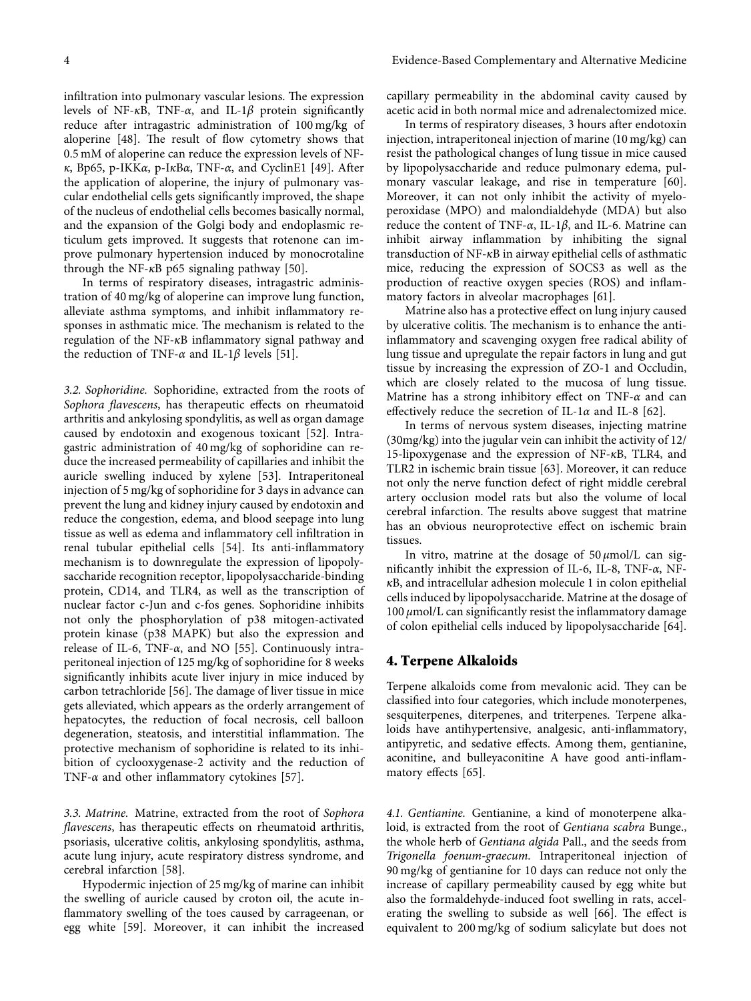infiltration into pulmonary vascular lesions. The expression levels of NF-*κ*B, TNF-*α*, and IL-1*β* protein significantly reduce after intragastric administration of 100 mg/kg of aloperine  $[48]$  $[48]$  $[48]$ . The result of flow cytometry shows that 0.5 mM of aloperine can reduce the expression levels of NF*κ*, Bp65, p-IKK*α*, p-I*κ*B*α*, TNF-*α*, and CyclinE1 [[49](#page-7-0)]. After the application of aloperine, the injury of pulmonary vascular endothelial cells gets significantly improved, the shape of the nucleus of endothelial cells becomes basically normal, and the expansion of the Golgi body and endoplasmic reticulum gets improved. It suggests that rotenone can improve pulmonary hypertension induced by monocrotaline through the NF-*κ*B p65 signaling pathway [[50](#page-7-0)].

In terms of respiratory diseases, intragastric administration of 40 mg/kg of aloperine can improve lung function, alleviate asthma symptoms, and inhibit inflammatory responses in asthmatic mice. The mechanism is related to the regulation of the NF-*κ*B inflammatory signal pathway and the reduction of TNF- $\alpha$  and IL-1 $\beta$  levels [[51\]](#page-7-0).

*3.2. Sophoridine.* Sophoridine, extracted from the roots of *Sophora flavescens*, has therapeutic effects on rheumatoid arthritis and ankylosing spondylitis, as well as organ damage caused by endotoxin and exogenous toxicant [[52\]](#page-7-0). Intragastric administration of 40 mg/kg of sophoridine can reduce the increased permeability of capillaries and inhibit the auricle swelling induced by xylene [[53](#page-7-0)]. Intraperitoneal injection of 5 mg/kg of sophoridine for 3 days in advance can prevent the lung and kidney injury caused by endotoxin and reduce the congestion, edema, and blood seepage into lung tissue as well as edema and inflammatory cell infiltration in renal tubular epithelial cells [\[54\]](#page-8-0). Its anti-inflammatory mechanism is to downregulate the expression of lipopolysaccharide recognition receptor, lipopolysaccharide-binding protein, CD14, and TLR4, as well as the transcription of nuclear factor c-Jun and c-fos genes. Sophoridine inhibits not only the phosphorylation of p38 mitogen-activated protein kinase (p38 MAPK) but also the expression and release of IL-6, TNF-*α*, and NO [[55](#page-8-0)]. Continuously intraperitoneal injection of 125 mg/kg of sophoridine for 8 weeks significantly inhibits acute liver injury in mice induced by carbon tetrachloride [\[56\]](#page-8-0). The damage of liver tissue in mice gets alleviated, which appears as the orderly arrangement of hepatocytes, the reduction of focal necrosis, cell balloon degeneration, steatosis, and interstitial inflammation. The protective mechanism of sophoridine is related to its inhibition of cyclooxygenase-2 activity and the reduction of TNF-*α* and other inflammatory cytokines [[57](#page-8-0)].

*3.3. Matrine.* Matrine, extracted from the root of *Sophora flavescens*, has therapeutic effects on rheumatoid arthritis, psoriasis, ulcerative colitis, ankylosing spondylitis, asthma, acute lung injury, acute respiratory distress syndrome, and cerebral infarction [[58](#page-8-0)].

Hypodermic injection of 25 mg/kg of marine can inhibit the swelling of auricle caused by croton oil, the acute inflammatory swelling of the toes caused by carrageenan, or egg white [[59](#page-8-0)]. Moreover, it can inhibit the increased capillary permeability in the abdominal cavity caused by acetic acid in both normal mice and adrenalectomized mice.

In terms of respiratory diseases, 3 hours after endotoxin injection, intraperitoneal injection of marine (10 mg/kg) can resist the pathological changes of lung tissue in mice caused by lipopolysaccharide and reduce pulmonary edema, pulmonary vascular leakage, and rise in temperature [[60](#page-8-0)]. Moreover, it can not only inhibit the activity of myeloperoxidase (MPO) and malondialdehyde (MDA) but also reduce the content of TNF-*α*, IL-1*β*, and IL-6. Matrine can inhibit airway inflammation by inhibiting the signal transduction of NF-*κ*B in airway epithelial cells of asthmatic mice, reducing the expression of SOCS3 as well as the production of reactive oxygen species (ROS) and inflammatory factors in alveolar macrophages [\[61\]](#page-8-0).

Matrine also has a protective effect on lung injury caused by ulcerative colitis. The mechanism is to enhance the antiinflammatory and scavenging oxygen free radical ability of lung tissue and upregulate the repair factors in lung and gut tissue by increasing the expression of ZO-1 and Occludin, which are closely related to the mucosa of lung tissue. Matrine has a strong inhibitory effect on TNF-*α* and can effectively reduce the secretion of IL-1*α* and IL-8 [\[62\]](#page-8-0).

In terms of nervous system diseases, injecting matrine (30mg/kg) into the jugular vein can inhibit the activity of 12/ 15-lipoxygenase and the expression of NF-*κ*B, TLR4, and TLR2 in ischemic brain tissue [[63\]](#page-8-0). Moreover, it can reduce not only the nerve function defect of right middle cerebral artery occlusion model rats but also the volume of local cerebral infarction. The results above suggest that matrine has an obvious neuroprotective effect on ischemic brain tissues.

In vitro, matrine at the dosage of 50 *μ*mol/L can significantly inhibit the expression of IL-6, IL-8, TNF-*α*, NF*κ*B, and intracellular adhesion molecule 1 in colon epithelial cells induced by lipopolysaccharide. Matrine at the dosage of 100 *μ*mol/L can significantly resist the inflammatory damage of colon epithelial cells induced by lipopolysaccharide [[64](#page-8-0)].

## **4. Terpene Alkaloids**

Terpene alkaloids come from mevalonic acid. They can be classified into four categories, which include monoterpenes, sesquiterpenes, diterpenes, and triterpenes. Terpene alkaloids have antihypertensive, analgesic, anti-inflammatory, antipyretic, and sedative effects. Among them, gentianine, aconitine, and bulleyaconitine A have good anti-inflammatory effects [[65\]](#page-8-0).

*4.1. Gentianine.* Gentianine, a kind of monoterpene alkaloid, is extracted from the root of *Gentiana scabra* Bunge., the whole herb of *Gentiana algida* Pall., and the seeds from *Trigonella foenum-graecum*. Intraperitoneal injection of 90 mg/kg of gentianine for 10 days can reduce not only the increase of capillary permeability caused by egg white but also the formaldehyde-induced foot swelling in rats, accelerating the swelling to subside as well  $[66]$ . The effect is equivalent to 200 mg/kg of sodium salicylate but does not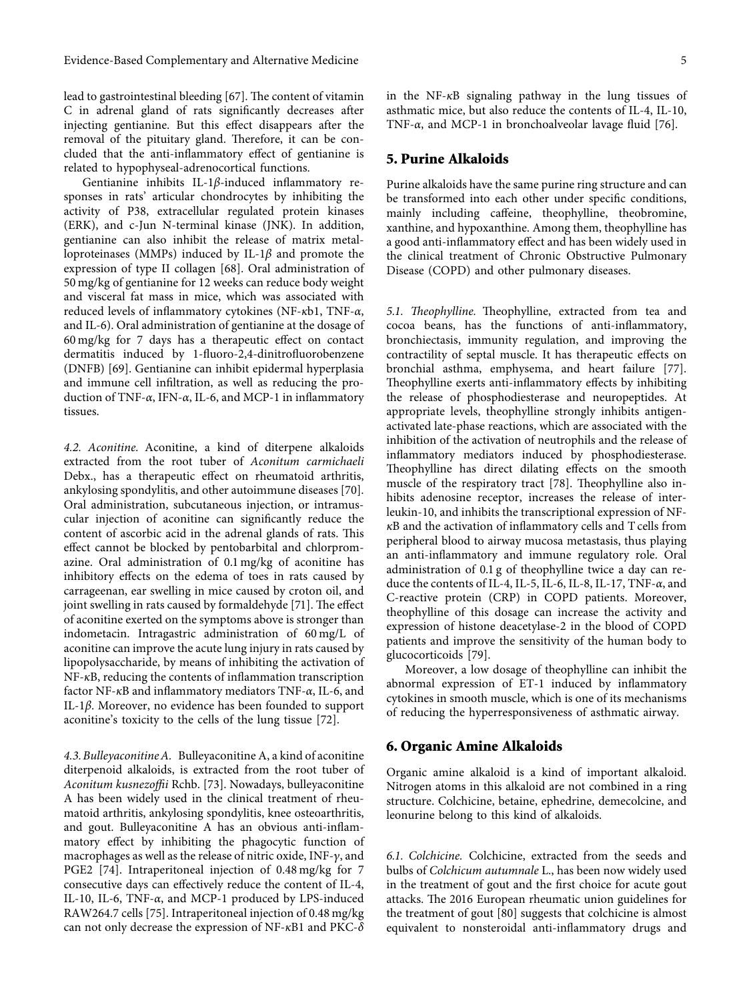lead to gastrointestinal bleeding [[67\]](#page-8-0). The content of vitamin C in adrenal gland of rats significantly decreases after injecting gentianine. But this effect disappears after the removal of the pituitary gland. Therefore, it can be concluded that the anti-inflammatory effect of gentianine is related to hypophyseal-adrenocortical functions.

Gentianine inhibits IL-1*β*-induced inflammatory responses in rats' articular chondrocytes by inhibiting the activity of P38, extracellular regulated protein kinases (ERK), and c-Jun N-terminal kinase (JNK). In addition, gentianine can also inhibit the release of matrix metalloproteinases (MMPs) induced by IL-1*β* and promote the expression of type II collagen [[68](#page-8-0)]. Oral administration of 50 mg/kg of gentianine for 12 weeks can reduce body weight and visceral fat mass in mice, which was associated with reduced levels of inflammatory cytokines (NF-*κ*b1, TNF-*α*, and IL-6). Oral administration of gentianine at the dosage of 60 mg/kg for 7 days has a therapeutic effect on contact dermatitis induced by 1-fluoro-2,4-dinitrofluorobenzene (DNFB) [[69](#page-8-0)]. Gentianine can inhibit epidermal hyperplasia and immune cell infiltration, as well as reducing the production of TNF-*α*, IFN-*α*, IL-6, and MCP-1 in inflammatory tissues.

*4.2. Aconitine.* Aconitine, a kind of diterpene alkaloids extracted from the root tuber of *Aconitum carmichaeli* Debx., has a therapeutic effect on rheumatoid arthritis, ankylosing spondylitis, and other autoimmune diseases [[70](#page-8-0)]. Oral administration, subcutaneous injection, or intramuscular injection of aconitine can significantly reduce the content of ascorbic acid in the adrenal glands of rats. This effect cannot be blocked by pentobarbital and chlorpromazine. Oral administration of 0.1 mg/kg of aconitine has inhibitory effects on the edema of toes in rats caused by carrageenan, ear swelling in mice caused by croton oil, and joint swelling in rats caused by formaldehyde [[71\]](#page-8-0). The effect of aconitine exerted on the symptoms above is stronger than indometacin. Intragastric administration of 60 mg/L of aconitine can improve the acute lung injury in rats caused by lipopolysaccharide, by means of inhibiting the activation of NF-*κ*B, reducing the contents of inflammation transcription factor NF-*κ*B and inflammatory mediators TNF-*α*, IL-6, and IL-1*β*. Moreover, no evidence has been founded to support aconitine's toxicity to the cells of the lung tissue [\[72\]](#page-8-0).

*4.3. BulleyaconitineA.* Bulleyaconitine A, a kind of aconitine diterpenoid alkaloids, is extracted from the root tuber of *Aconitum kusnezoffii* Rchb. [[73](#page-8-0)]. Nowadays, bulleyaconitine A has been widely used in the clinical treatment of rheumatoid arthritis, ankylosing spondylitis, knee osteoarthritis, and gout. Bulleyaconitine A has an obvious anti-inflammatory effect by inhibiting the phagocytic function of macrophages as well as the release of nitric oxide, INF-*c*, and PGE2 [\[74\]](#page-8-0). Intraperitoneal injection of 0.48 mg/kg for 7 consecutive days can effectively reduce the content of IL-4, IL-10, IL-6, TNF-*α*, and MCP-1 produced by LPS-induced RAW264.7 cells [[75](#page-8-0)]. Intraperitoneal injection of 0.48 mg/kg can not only decrease the expression of NF-*κ*B1 and PKC-*δ*

in the NF-*κ*B signaling pathway in the lung tissues of asthmatic mice, but also reduce the contents of IL-4, IL-10, TNF-*α*, and MCP-1 in bronchoalveolar lavage fluid [[76](#page-8-0)].

#### **5. Purine Alkaloids**

Purine alkaloids have the same purine ring structure and can be transformed into each other under specific conditions, mainly including caffeine, theophylline, theobromine, xanthine, and hypoxanthine. Among them, theophylline has a good anti-inflammatory effect and has been widely used in the clinical treatment of Chronic Obstructive Pulmonary Disease (COPD) and other pulmonary diseases.

5.1. Theophylline. Theophylline, extracted from tea and cocoa beans, has the functions of anti-inflammatory, bronchiectasis, immunity regulation, and improving the contractility of septal muscle. It has therapeutic effects on bronchial asthma, emphysema, and heart failure [[77](#page-8-0)]. Theophylline exerts anti-inflammatory effects by inhibiting the release of phosphodiesterase and neuropeptides. At appropriate levels, theophylline strongly inhibits antigenactivated late-phase reactions, which are associated with the inhibition of the activation of neutrophils and the release of inflammatory mediators induced by phosphodiesterase. Theophylline has direct dilating effects on the smooth muscle of the respiratory tract [[78](#page-8-0)]. Theophylline also inhibits adenosine receptor, increases the release of interleukin-10, and inhibits the transcriptional expression of NF*κ*B and the activation of inflammatory cells and T cells from peripheral blood to airway mucosa metastasis, thus playing an anti-inflammatory and immune regulatory role. Oral administration of 0.1 g of theophylline twice a day can reduce the contents of IL-4, IL-5, IL-6, IL-8, IL-17, TNF-*α*, and C-reactive protein (CRP) in COPD patients. Moreover, theophylline of this dosage can increase the activity and expression of histone deacetylase-2 in the blood of COPD patients and improve the sensitivity of the human body to glucocorticoids [\[79\]](#page-8-0).

Moreover, a low dosage of theophylline can inhibit the abnormal expression of ET-1 induced by inflammatory cytokines in smooth muscle, which is one of its mechanisms of reducing the hyperresponsiveness of asthmatic airway.

#### **6. Organic Amine Alkaloids**

Organic amine alkaloid is a kind of important alkaloid. Nitrogen atoms in this alkaloid are not combined in a ring structure. Colchicine, betaine, ephedrine, demecolcine, and leonurine belong to this kind of alkaloids.

*6.1. Colchicine.* Colchicine, extracted from the seeds and bulbs of *Colchicum autumnale* L., has been now widely used in the treatment of gout and the first choice for acute gout attacks. The 2016 European rheumatic union guidelines for the treatment of gout [[80](#page-8-0)] suggests that colchicine is almost equivalent to nonsteroidal anti-inflammatory drugs and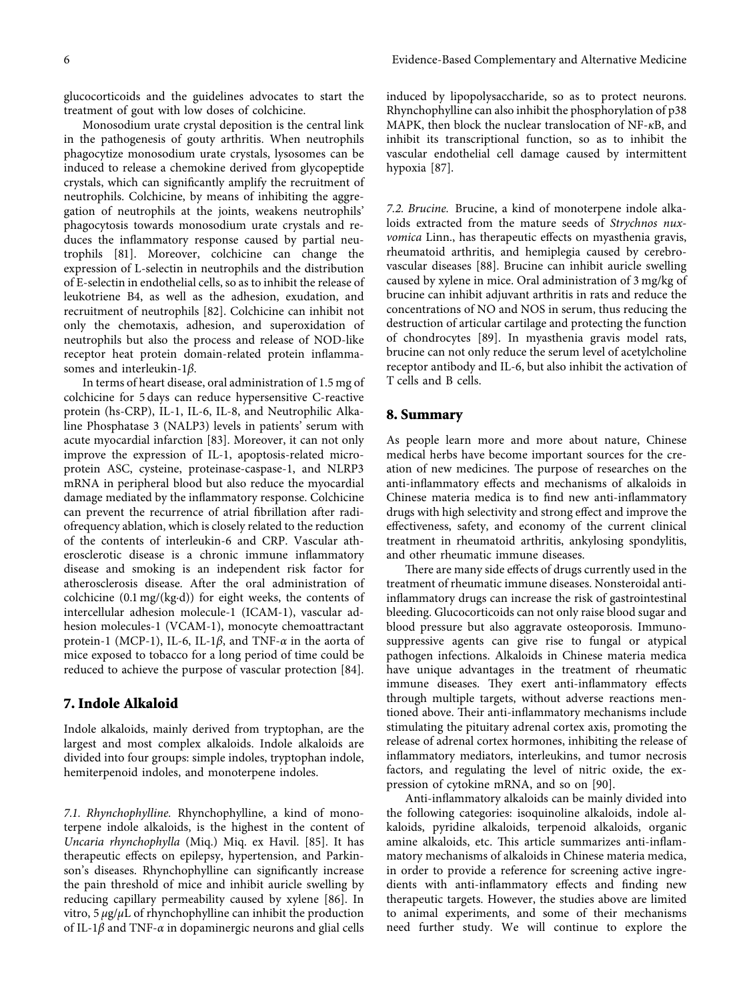glucocorticoids and the guidelines advocates to start the treatment of gout with low doses of colchicine.

Monosodium urate crystal deposition is the central link in the pathogenesis of gouty arthritis. When neutrophils phagocytize monosodium urate crystals, lysosomes can be induced to release a chemokine derived from glycopeptide crystals, which can significantly amplify the recruitment of neutrophils. Colchicine, by means of inhibiting the aggregation of neutrophils at the joints, weakens neutrophils' phagocytosis towards monosodium urate crystals and reduces the inflammatory response caused by partial neutrophils [[81\]](#page-8-0). Moreover, colchicine can change the expression of L-selectin in neutrophils and the distribution of E-selectin in endothelial cells, so as to inhibit the release of leukotriene B4, as well as the adhesion, exudation, and recruitment of neutrophils [[82](#page-8-0)]. Colchicine can inhibit not only the chemotaxis, adhesion, and superoxidation of neutrophils but also the process and release of NOD-like receptor heat protein domain-related protein inflammasomes and interleukin-1*β*.

In terms of heart disease, oral administration of 1.5 mg of colchicine for 5 days can reduce hypersensitive C-reactive protein (hs-CRP), IL-1, IL-6, IL-8, and Neutrophilic Alkaline Phosphatase 3 (NALP3) levels in patients' serum with acute myocardial infarction [[83](#page-8-0)]. Moreover, it can not only improve the expression of IL-1, apoptosis-related microprotein ASC, cysteine, proteinase-caspase-1, and NLRP3 mRNA in peripheral blood but also reduce the myocardial damage mediated by the inflammatory response. Colchicine can prevent the recurrence of atrial fibrillation after radiofrequency ablation, which is closely related to the reduction of the contents of interleukin-6 and CRP. Vascular atherosclerotic disease is a chronic immune inflammatory disease and smoking is an independent risk factor for atherosclerosis disease. After the oral administration of colchicine (0.1 mg/(kg·d)) for eight weeks, the contents of intercellular adhesion molecule-1 (ICAM-1), vascular adhesion molecules-1 (VCAM-1), monocyte chemoattractant protein-1 (MCP-1), IL-6, IL-1*β*, and TNF-*α* in the aorta of mice exposed to tobacco for a long period of time could be reduced to achieve the purpose of vascular protection [[84](#page-8-0)].

#### **7. Indole Alkaloid**

Indole alkaloids, mainly derived from tryptophan, are the largest and most complex alkaloids. Indole alkaloids are divided into four groups: simple indoles, tryptophan indole, hemiterpenoid indoles, and monoterpene indoles.

*7.1. Rhynchophylline.* Rhynchophylline, a kind of monoterpene indole alkaloids, is the highest in the content of *Uncaria rhynchophylla* (Miq.) Miq. ex Havil. [\[85\]](#page-9-0). It has therapeutic effects on epilepsy, hypertension, and Parkinson's diseases. Rhynchophylline can significantly increase the pain threshold of mice and inhibit auricle swelling by reducing capillary permeability caused by xylene [[86](#page-9-0)]. In vitro, 5 *μ*g/*μ*L of rhynchophylline can inhibit the production of IL-1*β* and TNF-*α* in dopaminergic neurons and glial cells

induced by lipopolysaccharide, so as to protect neurons. Rhynchophylline can also inhibit the phosphorylation of p38 MAPK, then block the nuclear translocation of NF-*κ*B, and inhibit its transcriptional function, so as to inhibit the vascular endothelial cell damage caused by intermittent hypoxia [[87](#page-9-0)].

*7.2. Brucine.* Brucine, a kind of monoterpene indole alkaloids extracted from the mature seeds of *Strychnos nuxvomica* Linn., has therapeutic effects on myasthenia gravis, rheumatoid arthritis, and hemiplegia caused by cerebrovascular diseases [\[88\]](#page-9-0). Brucine can inhibit auricle swelling caused by xylene in mice. Oral administration of 3 mg/kg of brucine can inhibit adjuvant arthritis in rats and reduce the concentrations of NO and NOS in serum, thus reducing the destruction of articular cartilage and protecting the function of chondrocytes [\[89\]](#page-9-0). In myasthenia gravis model rats, brucine can not only reduce the serum level of acetylcholine receptor antibody and IL-6, but also inhibit the activation of T cells and B cells.

#### **8. Summary**

As people learn more and more about nature, Chinese medical herbs have become important sources for the creation of new medicines. The purpose of researches on the anti-inflammatory effects and mechanisms of alkaloids in Chinese materia medica is to find new anti-inflammatory drugs with high selectivity and strong effect and improve the effectiveness, safety, and economy of the current clinical treatment in rheumatoid arthritis, ankylosing spondylitis, and other rheumatic immune diseases.

There are many side effects of drugs currently used in the treatment of rheumatic immune diseases. Nonsteroidal antiinflammatory drugs can increase the risk of gastrointestinal bleeding. Glucocorticoids can not only raise blood sugar and blood pressure but also aggravate osteoporosis. Immunosuppressive agents can give rise to fungal or atypical pathogen infections. Alkaloids in Chinese materia medica have unique advantages in the treatment of rheumatic immune diseases. They exert anti-inflammatory effects through multiple targets, without adverse reactions mentioned above. Their anti-inflammatory mechanisms include stimulating the pituitary adrenal cortex axis, promoting the release of adrenal cortex hormones, inhibiting the release of inflammatory mediators, interleukins, and tumor necrosis factors, and regulating the level of nitric oxide, the expression of cytokine mRNA, and so on [[90](#page-9-0)].

Anti-inflammatory alkaloids can be mainly divided into the following categories: isoquinoline alkaloids, indole alkaloids, pyridine alkaloids, terpenoid alkaloids, organic amine alkaloids, etc. This article summarizes anti-inflammatory mechanisms of alkaloids in Chinese materia medica, in order to provide a reference for screening active ingredients with anti-inflammatory effects and finding new therapeutic targets. However, the studies above are limited to animal experiments, and some of their mechanisms need further study. We will continue to explore the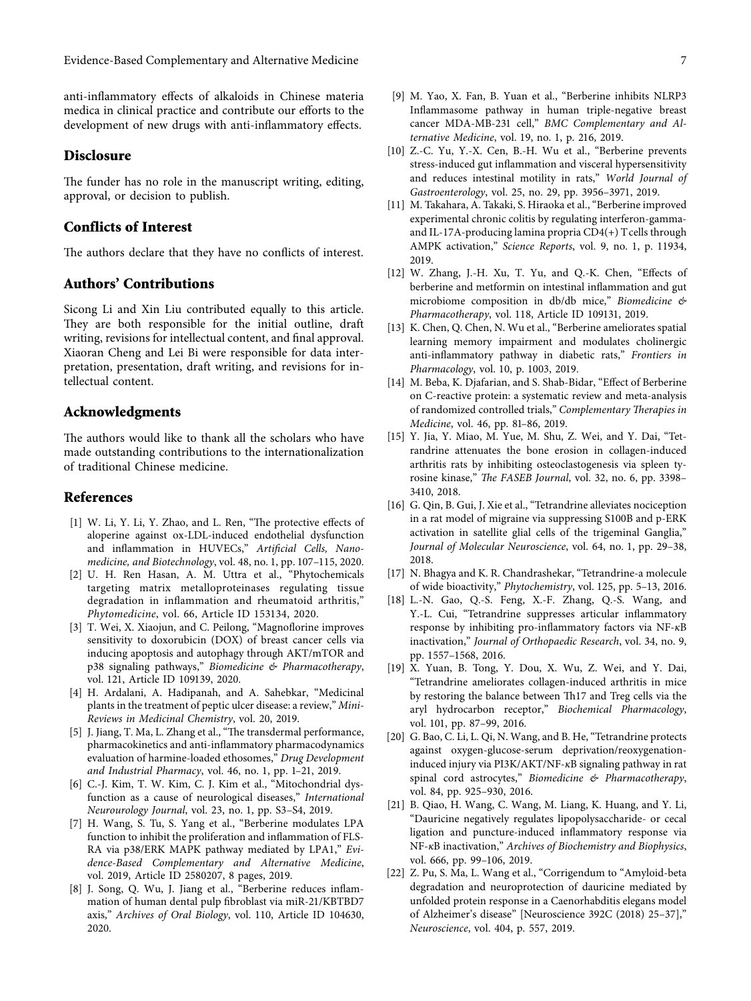<span id="page-6-0"></span>anti-inflammatory effects of alkaloids in Chinese materia medica in clinical practice and contribute our efforts to the development of new drugs with anti-inflammatory effects.

#### **Disclosure**

The funder has no role in the manuscript writing, editing, approval, or decision to publish.

## **Conflicts of Interest**

The authors declare that they have no conflicts of interest.

## **Authors' Contributions**

Sicong Li and Xin Liu contributed equally to this article. They are both responsible for the initial outline, draft writing, revisions for intellectual content, and final approval. Xiaoran Cheng and Lei Bi were responsible for data interpretation, presentation, draft writing, and revisions for intellectual content.

#### **Acknowledgments**

The authors would like to thank all the scholars who have made outstanding contributions to the internationalization of traditional Chinese medicine.

#### **References**

- [1] W. Li, Y. Li, Y. Zhao, and L. Ren, "The protective effects of aloperine against ox-LDL-induced endothelial dysfunction and inflammation in HUVECs," *Artificial Cells, Nanomedicine, and Biotechnology*, vol. 48, no. 1, pp. 107–115, 2020.
- [2] U. H. Ren Hasan, A. M. Uttra et al., "Phytochemicals targeting matrix metalloproteinases regulating tissue degradation in inflammation and rheumatoid arthritis," *Phytomedicine*, vol. 66, Article ID 153134, 2020.
- [3] T. Wei, X. Xiaojun, and C. Peilong, "Magnoflorine improves sensitivity to doxorubicin (DOX) of breast cancer cells via inducing apoptosis and autophagy through AKT/mTOR and p38 signaling pathways," *Biomedicine & Pharmacotherapy*, vol. 121, Article ID 109139, 2020.
- [4] H. Ardalani, A. Hadipanah, and A. Sahebkar, "Medicinal plants in the treatment of peptic ulcer disease: a review," *Mini-Reviews in Medicinal Chemistry*, vol. 20, 2019.
- [5] J. Jiang, T. Ma, L. Zhang et al., "The transdermal performance, pharmacokinetics and anti-inflammatory pharmacodynamics evaluation of harmine-loaded ethosomes," *Drug Development and Industrial Pharmacy*, vol. 46, no. 1, pp. 1–21, 2019.
- [6] C.-J. Kim, T. W. Kim, C. J. Kim et al., "Mitochondrial dysfunction as a cause of neurological diseases," *International Neurourology Journal*, vol. 23, no. 1, pp. S3–S4, 2019.
- [7] H. Wang, S. Tu, S. Yang et al., "Berberine modulates LPA function to inhibit the proliferation and inflammation of FLS-RA via p38/ERK MAPK pathway mediated by LPA1," *Evidence-Based Complementary and Alternative Medicine*, vol. 2019, Article ID 2580207, 8 pages, 2019.
- [8] J. Song, Q. Wu, J. Jiang et al., "Berberine reduces inflammation of human dental pulp fibroblast via miR-21/KBTBD7 axis," *Archives of Oral Biology*, vol. 110, Article ID 104630, 2020.
- [9] M. Yao, X. Fan, B. Yuan et al., "Berberine inhibits NLRP3 Inflammasome pathway in human triple-negative breast cancer MDA-MB-231 cell," *BMC Complementary and Alternative Medicine*, vol. 19, no. 1, p. 216, 2019.
- [10] Z.-C. Yu, Y.-X. Cen, B.-H. Wu et al., "Berberine prevents stress-induced gut inflammation and visceral hypersensitivity and reduces intestinal motility in rats," *World Journal of Gastroenterology*, vol. 25, no. 29, pp. 3956–3971, 2019.
- [11] M. Takahara, A. Takaki, S. Hiraoka et al., "Berberine improved experimental chronic colitis by regulating interferon-gammaand IL-17A-producing lamina propria CD4(+) T cells through AMPK activation," *Science Reports*, vol. 9, no. 1, p. 11934, 2019.
- [12] W. Zhang, J.-H. Xu, T. Yu, and Q.-K. Chen, "Effects of berberine and metformin on intestinal inflammation and gut microbiome composition in db/db mice," *Biomedicine & Pharmacotherapy*, vol. 118, Article ID 109131, 2019.
- [13] K. Chen, Q. Chen, N. Wu et al., "Berberine ameliorates spatial learning memory impairment and modulates cholinergic anti-inflammatory pathway in diabetic rats," *Frontiers in Pharmacology*, vol. 10, p. 1003, 2019.
- [14] M. Beba, K. Djafarian, and S. Shab-Bidar, "Effect of Berberine on C-reactive protein: a systematic review and meta-analysis of randomized controlled trials," *Complementary Therapies in Medicine*, vol. 46, pp. 81–86, 2019.
- [15] Y. Jia, Y. Miao, M. Yue, M. Shu, Z. Wei, and Y. Dai, "Tetrandrine attenuates the bone erosion in collagen-induced arthritis rats by inhibiting osteoclastogenesis via spleen tyrosine kinase," *The FASEB Journal*, vol. 32, no. 6, pp. 3398– 3410, 2018.
- [16] G. Qin, B. Gui, J. Xie et al., "Tetrandrine alleviates nociception in a rat model of migraine via suppressing S100B and p-ERK activation in satellite glial cells of the trigeminal Ganglia," *Journal of Molecular Neuroscience*, vol. 64, no. 1, pp. 29–38, 2018.
- [17] N. Bhagya and K. R. Chandrashekar, "Tetrandrine-a molecule of wide bioactivity," *Phytochemistry*, vol. 125, pp. 5–13, 2016.
- [18] L.-N. Gao, Q.-S. Feng, X.-F. Zhang, Q.-S. Wang, and Y.-L. Cui, "Tetrandrine suppresses articular inflammatory response by inhibiting pro-inflammatory factors via NF-*κ*B inactivation," *Journal of Orthopaedic Research*, vol. 34, no. 9, pp. 1557–1568, 2016.
- [19] X. Yuan, B. Tong, Y. Dou, X. Wu, Z. Wei, and Y. Dai, "Tetrandrine ameliorates collagen-induced arthritis in mice by restoring the balance between Th17 and Treg cells via the aryl hydrocarbon receptor," *Biochemical Pharmacology*, vol. 101, pp. 87–99, 2016.
- [20] G. Bao, C. Li, L. Qi, N. Wang, and B. He, "Tetrandrine protects against oxygen-glucose-serum deprivation/reoxygenationinduced injury via PI3K/AKT/NF-*κ*B signaling pathway in rat spinal cord astrocytes," *Biomedicine & Pharmacotherapy*, vol. 84, pp. 925–930, 2016.
- [21] B. Qiao, H. Wang, C. Wang, M. Liang, K. Huang, and Y. Li, "Dauricine negatively regulates lipopolysaccharide- or cecal ligation and puncture-induced inflammatory response via NF-*κ*B inactivation," *Archives of Biochemistry and Biophysics*, vol. 666, pp. 99–106, 2019.
- [22] Z. Pu, S. Ma, L. Wang et al., "Corrigendum to "Amyloid-beta degradation and neuroprotection of dauricine mediated by unfolded protein response in a Caenorhabditis elegans model of Alzheimer's disease" [Neuroscience 392C (2018) 25–37]," *Neuroscience*, vol. 404, p. 557, 2019.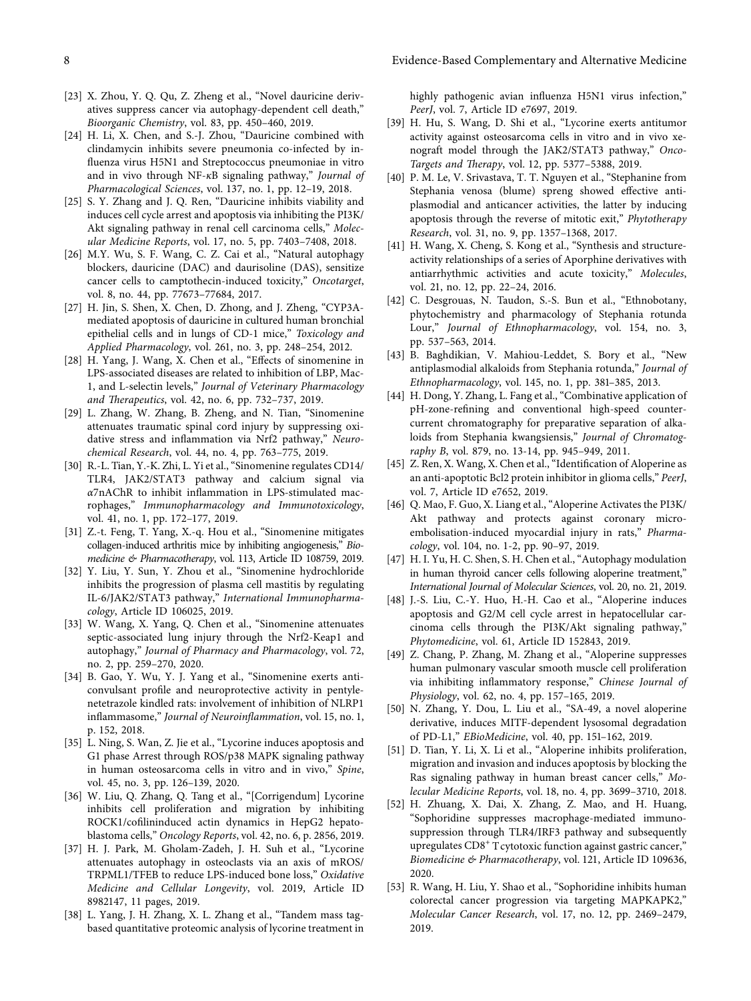- <span id="page-7-0"></span>[23] X. Zhou, Y. Q. Qu, Z. Zheng et al., "Novel dauricine derivatives suppress cancer via autophagy-dependent cell death," *Bioorganic Chemistry*, vol. 83, pp. 450–460, 2019.
- [24] H. Li, X. Chen, and S.-J. Zhou, "Dauricine combined with clindamycin inhibits severe pneumonia co-infected by influenza virus H5N1 and Streptococcus pneumoniae in vitro and in vivo through NF-*κ*B signaling pathway," *Journal of Pharmacological Sciences*, vol. 137, no. 1, pp. 12–19, 2018.
- [25] S. Y. Zhang and J. Q. Ren, "Dauricine inhibits viability and induces cell cycle arrest and apoptosis via inhibiting the PI3K/ Akt signaling pathway in renal cell carcinoma cells," *Molecular Medicine Reports*, vol. 17, no. 5, pp. 7403–7408, 2018.
- [26] M.Y. Wu, S. F. Wang, C. Z. Cai et al., "Natural autophagy blockers, dauricine (DAC) and daurisoline (DAS), sensitize cancer cells to camptothecin-induced toxicity," *Oncotarget*, vol. 8, no. 44, pp. 77673–77684, 2017.
- [27] H. Jin, S. Shen, X. Chen, D. Zhong, and J. Zheng, "CYP3Amediated apoptosis of dauricine in cultured human bronchial epithelial cells and in lungs of CD-1 mice," *Toxicology and Applied Pharmacology*, vol. 261, no. 3, pp. 248–254, 2012.
- [28] H. Yang, J. Wang, X. Chen et al., "Effects of sinomenine in LPS-associated diseases are related to inhibition of LBP, Mac-1, and L-selectin levels," *Journal of Veterinary Pharmacology and 8erapeutics*, vol. 42, no. 6, pp. 732–737, 2019.
- [29] L. Zhang, W. Zhang, B. Zheng, and N. Tian, "Sinomenine attenuates traumatic spinal cord injury by suppressing oxidative stress and inflammation via Nrf2 pathway," *Neurochemical Research*, vol. 44, no. 4, pp. 763–775, 2019.
- [30] R.-L. Tian, Y.-K. Zhi, L. Yi et al., "Sinomenine regulates CD14/ TLR4, JAK2/STAT3 pathway and calcium signal via *α*7nAChR to inhibit inflammation in LPS-stimulated macrophages," *Immunopharmacology and Immunotoxicology*, vol. 41, no. 1, pp. 172–177, 2019.
- [31] Z.-t. Feng, T. Yang, X.-q. Hou et al., "Sinomenine mitigates collagen-induced arthritis mice by inhibiting angiogenesis," *Biomedicine & Pharmacotherapy*, vol. 113, Article ID 108759, 2019.
- [32] Y. Liu, Y. Sun, Y. Zhou et al., "Sinomenine hydrochloride inhibits the progression of plasma cell mastitis by regulating IL-6/JAK2/STAT3 pathway," *International Immunopharmacology*, Article ID 106025, 2019.
- [33] W. Wang, X. Yang, Q. Chen et al., "Sinomenine attenuates septic-associated lung injury through the Nrf2-Keap1 and autophagy," *Journal of Pharmacy and Pharmacology*, vol. 72, no. 2, pp. 259–270, 2020.
- [34] B. Gao, Y. Wu, Y. J. Yang et al., "Sinomenine exerts anticonvulsant profile and neuroprotective activity in pentylenetetrazole kindled rats: involvement of inhibition of NLRP1 inflammasome," *Journal of Neuroinflammation*, vol. 15, no. 1, p. 152, 2018.
- [35] L. Ning, S. Wan, Z. Jie et al., "Lycorine induces apoptosis and G1 phase Arrest through ROS/p38 MAPK signaling pathway in human osteosarcoma cells in vitro and in vivo," *Spine*, vol. 45, no. 3, pp. 126–139, 2020.
- [36] W. Liu, Q. Zhang, Q. Tang et al., "[Corrigendum] Lycorine inhibits cell proliferation and migration by inhibiting ROCK1/cofilininduced actin dynamics in HepG2 hepatoblastoma cells," *Oncology Reports*, vol. 42, no. 6, p. 2856, 2019.
- [37] H. J. Park, M. Gholam-Zadeh, J. H. Suh et al., "Lycorine attenuates autophagy in osteoclasts via an axis of mROS/ TRPML1/TFEB to reduce LPS-induced bone loss," *Oxidative Medicine and Cellular Longevity*, vol. 2019, Article ID 8982147, 11 pages, 2019.
- [38] L. Yang, J. H. Zhang, X. L. Zhang et al., "Tandem mass tagbased quantitative proteomic analysis of lycorine treatment in

highly pathogenic avian influenza H5N1 virus infection," *PeerJ*, vol. 7, Article ID e7697, 2019.

- [39] H. Hu, S. Wang, D. Shi et al., "Lycorine exerts antitumor activity against osteosarcoma cells in vitro and in vivo xenograft model through the JAK2/STAT3 pathway," *Onco-Targets and 8erapy*, vol. 12, pp. 5377–5388, 2019.
- [40] P. M. Le, V. Srivastava, T. T. Nguyen et al., "Stephanine from Stephania venosa (blume) spreng showed effective antiplasmodial and anticancer activities, the latter by inducing apoptosis through the reverse of mitotic exit," *Phytotherapy Research*, vol. 31, no. 9, pp. 1357–1368, 2017.
- [41] H. Wang, X. Cheng, S. Kong et al., "Synthesis and structureactivity relationships of a series of Aporphine derivatives with antiarrhythmic activities and acute toxicity," *Molecules*, vol. 21, no. 12, pp. 22–24, 2016.
- [42] C. Desgrouas, N. Taudon, S.-S. Bun et al., "Ethnobotany, phytochemistry and pharmacology of Stephania rotunda Lour," *Journal of Ethnopharmacology*, vol. 154, no. 3, pp. 537–563, 2014.
- [43] B. Baghdikian, V. Mahiou-Leddet, S. Bory et al., "New antiplasmodial alkaloids from Stephania rotunda," *Journal of Ethnopharmacology*, vol. 145, no. 1, pp. 381–385, 2013.
- [44] H. Dong, Y. Zhang, L. Fang et al., "Combinative application of pH-zone-refining and conventional high-speed countercurrent chromatography for preparative separation of alkaloids from Stephania kwangsiensis," *Journal of Chromatography B*, vol. 879, no. 13-14, pp. 945–949, 2011.
- [45] Z. Ren, X. Wang, X. Chen et al., "Identification of Aloperine as an anti-apoptotic Bcl2 protein inhibitor in glioma cells," *PeerJ*, vol. 7, Article ID e7652, 2019.
- [46] Q. Mao, F. Guo, X. Liang et al., "Aloperine Activates the PI3K/ Akt pathway and protects against coronary microembolisation-induced myocardial injury in rats," *Pharmacology*, vol. 104, no. 1-2, pp. 90–97, 2019.
- [47] H. I. Yu, H. C. Shen, S. H. Chen et al., "Autophagy modulation in human thyroid cancer cells following aloperine treatment," *International Journal of Molecular Sciences*, vol. 20, no. 21, 2019.
- [48] J.-S. Liu, C.-Y. Huo, H.-H. Cao et al., "Aloperine induces apoptosis and G2/M cell cycle arrest in hepatocellular carcinoma cells through the PI3K/Akt signaling pathway," *Phytomedicine*, vol. 61, Article ID 152843, 2019.
- [49] Z. Chang, P. Zhang, M. Zhang et al., "Aloperine suppresses human pulmonary vascular smooth muscle cell proliferation via inhibiting inflammatory response," *Chinese Journal of Physiology*, vol. 62, no. 4, pp. 157–165, 2019.
- [50] N. Zhang, Y. Dou, L. Liu et al., "SA-49, a novel aloperine derivative, induces MITF-dependent lysosomal degradation of PD-L1," *EBioMedicine*, vol. 40, pp. 151–162, 2019.
- [51] D. Tian, Y. Li, X. Li et al., "Aloperine inhibits proliferation, migration and invasion and induces apoptosis by blocking the Ras signaling pathway in human breast cancer cells," *Molecular Medicine Reports*, vol. 18, no. 4, pp. 3699–3710, 2018.
- [52] H. Zhuang, X. Dai, X. Zhang, Z. Mao, and H. Huang, "Sophoridine suppresses macrophage-mediated immunosuppression through TLR4/IRF3 pathway and subsequently upregulates  $CD8<sup>+</sup>$  T cytotoxic function against gastric cancer," *Biomedicine & Pharmacotherapy*, vol. 121, Article ID 109636, 2020.
- [53] R. Wang, H. Liu, Y. Shao et al., "Sophoridine inhibits human colorectal cancer progression via targeting MAPKAPK2," *Molecular Cancer Research*, vol. 17, no. 12, pp. 2469–2479, 2019.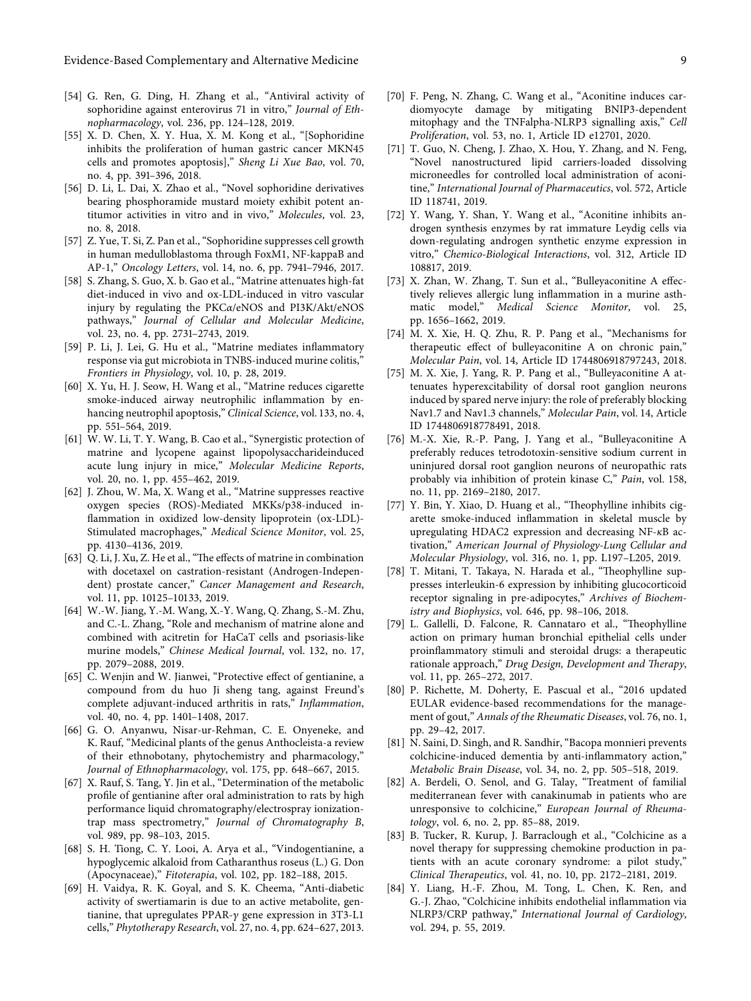- <span id="page-8-0"></span>[54] G. Ren, G. Ding, H. Zhang et al., "Antiviral activity of sophoridine against enterovirus 71 in vitro," *Journal of Ethnopharmacology*, vol. 236, pp. 124–128, 2019.
- [55] X. D. Chen, X. Y. Hua, X. M. Kong et al., "[Sophoridine inhibits the proliferation of human gastric cancer MKN45 cells and promotes apoptosis]," *Sheng Li Xue Bao*, vol. 70, no. 4, pp. 391–396, 2018.
- [56] D. Li, L. Dai, X. Zhao et al., "Novel sophoridine derivatives bearing phosphoramide mustard moiety exhibit potent antitumor activities in vitro and in vivo," *Molecules*, vol. 23, no. 8, 2018.
- [57] Z. Yue, T. Si, Z. Pan et al., "Sophoridine suppresses cell growth in human medulloblastoma through FoxM1, NF-kappaB and AP-1," *Oncology Letters*, vol. 14, no. 6, pp. 7941–7946, 2017.
- [58] S. Zhang, S. Guo, X. b. Gao et al., "Matrine attenuates high-fat diet-induced in vivo and ox-LDL-induced in vitro vascular injury by regulating the PKC*α*/eNOS and PI3K/Akt/eNOS pathways," *Journal of Cellular and Molecular Medicine*, vol. 23, no. 4, pp. 2731–2743, 2019.
- [59] P. Li, J. Lei, G. Hu et al., "Matrine mediates inflammatory response via gut microbiota in TNBS-induced murine colitis," *Frontiers in Physiology*, vol. 10, p. 28, 2019.
- [60] X. Yu, H. J. Seow, H. Wang et al., "Matrine reduces cigarette smoke-induced airway neutrophilic inflammation by enhancing neutrophil apoptosis," *Clinical Science*, vol. 133, no. 4, pp. 551–564, 2019.
- [61] W. W. Li, T. Y. Wang, B. Cao et al., "Synergistic protection of matrine and lycopene against lipopolysaccharideinduced acute lung injury in mice," *Molecular Medicine Reports*, vol. 20, no. 1, pp. 455–462, 2019.
- [62] J. Zhou, W. Ma, X. Wang et al., "Matrine suppresses reactive oxygen species (ROS)-Mediated MKKs/p38-induced inflammation in oxidized low-density lipoprotein (ox-LDL)- Stimulated macrophages," *Medical Science Monitor*, vol. 25, pp. 4130–4136, 2019.
- [63] Q. Li, J. Xu, Z. He et al., "The effects of matrine in combination with docetaxel on castration-resistant (Androgen-Independent) prostate cancer," *Cancer Management and Research*, vol. 11, pp. 10125–10133, 2019.
- [64] W.-W. Jiang, Y.-M. Wang, X.-Y. Wang, Q. Zhang, S.-M. Zhu, and C.-L. Zhang, "Role and mechanism of matrine alone and combined with acitretin for HaCaT cells and psoriasis-like murine models," *Chinese Medical Journal*, vol. 132, no. 17, pp. 2079–2088, 2019.
- [65] C. Wenjin and W. Jianwei, "Protective effect of gentianine, a compound from du huo Ji sheng tang, against Freund's complete adjuvant-induced arthritis in rats," *Inflammation*, vol. 40, no. 4, pp. 1401–1408, 2017.
- [66] G. O. Anyanwu, Nisar-ur-Rehman, C. E. Onyeneke, and K. Rauf, "Medicinal plants of the genus Anthocleista-a review of their ethnobotany, phytochemistry and pharmacology," *Journal of Ethnopharmacology*, vol. 175, pp. 648–667, 2015.
- [67] X. Rauf, S. Tang, Y. Jin et al., "Determination of the metabolic profile of gentianine after oral administration to rats by high performance liquid chromatography/electrospray ionizationtrap mass spectrometry," *Journal of Chromatography B*, vol. 989, pp. 98–103, 2015.
- [68] S. H. Tiong, C. Y. Looi, A. Arya et al., "Vindogentianine, a hypoglycemic alkaloid from Catharanthus roseus (L.) G. Don (Apocynaceae)," *Fitoterapia*, vol. 102, pp. 182–188, 2015.
- [69] H. Vaidya, R. K. Goyal, and S. K. Cheema, "Anti-diabetic activity of swertiamarin is due to an active metabolite, gentianine, that upregulates PPAR- $\gamma$  gene expression in 3T3-L1 cells," *Phytotherapy Research*, vol. 27, no. 4, pp. 624–627, 2013.
- [70] F. Peng, N. Zhang, C. Wang et al., "Aconitine induces cardiomyocyte damage by mitigating BNIP3-dependent mitophagy and the TNFalpha-NLRP3 signalling axis," *Cell Proliferation*, vol. 53, no. 1, Article ID e12701, 2020.
- [71] T. Guo, N. Cheng, J. Zhao, X. Hou, Y. Zhang, and N. Feng, "Novel nanostructured lipid carriers-loaded dissolving microneedles for controlled local administration of aconitine," *International Journal of Pharmaceutics*, vol. 572, Article ID 118741, 2019.
- [72] Y. Wang, Y. Shan, Y. Wang et al., "Aconitine inhibits androgen synthesis enzymes by rat immature Leydig cells via down-regulating androgen synthetic enzyme expression in vitro," *Chemico-Biological Interactions*, vol. 312, Article ID 108817, 2019.
- [73] X. Zhan, W. Zhang, T. Sun et al., "Bulleyaconitine A effectively relieves allergic lung inflammation in a murine asthmatic model," *Medical Science Monitor*, vol. 25, pp. 1656–1662, 2019.
- [74] M. X. Xie, H. Q. Zhu, R. P. Pang et al., "Mechanisms for therapeutic effect of bulleyaconitine A on chronic pain," *Molecular Pain*, vol. 14, Article ID 1744806918797243, 2018.
- [75] M. X. Xie, J. Yang, R. P. Pang et al., "Bulleyaconitine A attenuates hyperexcitability of dorsal root ganglion neurons induced by spared nerve injury: the role of preferably blocking Nav1.7 and Nav1.3 channels," *Molecular Pain*, vol. 14, Article ID 1744806918778491, 2018.
- [76] M.-X. Xie, R.-P. Pang, J. Yang et al., "Bulleyaconitine A preferably reduces tetrodotoxin-sensitive sodium current in uninjured dorsal root ganglion neurons of neuropathic rats probably via inhibition of protein kinase C," *Pain*, vol. 158, no. 11, pp. 2169–2180, 2017.
- [77] Y. Bin, Y. Xiao, D. Huang et al., "Theophylline inhibits cigarette smoke-induced inflammation in skeletal muscle by upregulating HDAC2 expression and decreasing NF-*κ*B activation," *American Journal of Physiology-Lung Cellular and Molecular Physiology*, vol. 316, no. 1, pp. L197–L205, 2019.
- [78] T. Mitani, T. Takaya, N. Harada et al., "Theophylline suppresses interleukin-6 expression by inhibiting glucocorticoid receptor signaling in pre-adipocytes," *Archives of Biochemistry and Biophysics*, vol. 646, pp. 98–106, 2018.
- [79] L. Gallelli, D. Falcone, R. Cannataro et al., "Theophylline action on primary human bronchial epithelial cells under proinflammatory stimuli and steroidal drugs: a therapeutic rationale approach," *Drug Design, Development and Therapy*, vol. 11, pp. 265–272, 2017.
- [80] P. Richette, M. Doherty, E. Pascual et al., "2016 updated EULAR evidence-based recommendations for the management of gout," *Annals of the Rheumatic Diseases*, vol. 76, no. 1, pp. 29–42, 2017.
- [81] N. Saini, D. Singh, and R. Sandhir, "Bacopa monnieri prevents colchicine-induced dementia by anti-inflammatory action," *Metabolic Brain Disease*, vol. 34, no. 2, pp. 505–518, 2019.
- [82] A. Berdeli, O. Senol, and G. Talay, "Treatment of familial mediterranean fever with canakinumab in patients who are unresponsive to colchicine," *European Journal of Rheumatology*, vol. 6, no. 2, pp. 85–88, 2019.
- [83] B. Tucker, R. Kurup, J. Barraclough et al., "Colchicine as a novel therapy for suppressing chemokine production in patients with an acute coronary syndrome: a pilot study," *Clinical 8erapeutics*, vol. 41, no. 10, pp. 2172–2181, 2019.
- [84] Y. Liang, H.-F. Zhou, M. Tong, L. Chen, K. Ren, and G.-J. Zhao, "Colchicine inhibits endothelial inflammation via NLRP3/CRP pathway," *International Journal of Cardiology*, vol. 294, p. 55, 2019.